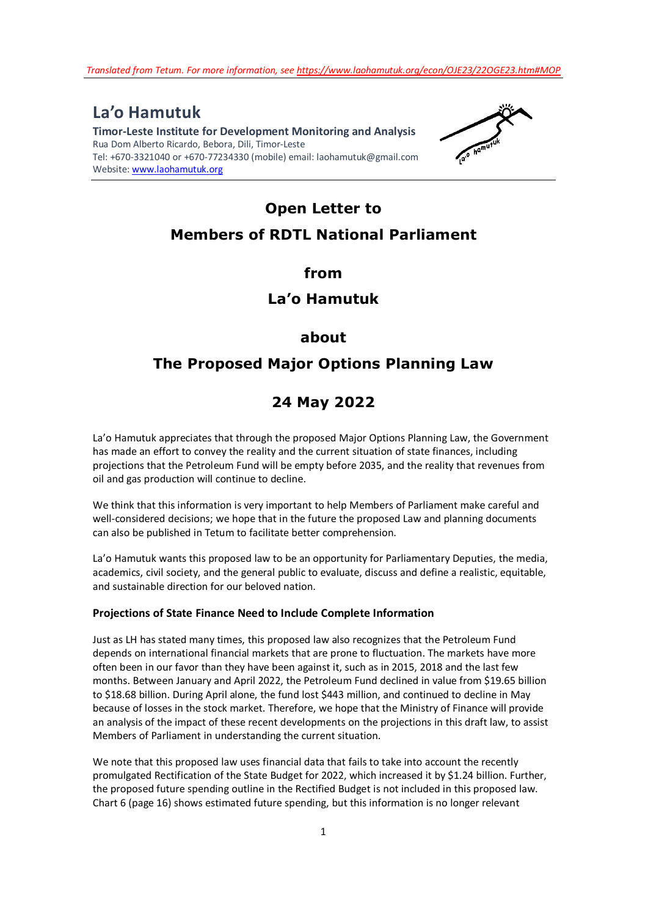**La'o Hamutuk Timor-Leste Institute for Development Monitoring and Analysis**  Rua Dom Alberto Ricardo, Bebora, Dili, Timor-Leste Tel: +670-3321040 or +670-77234330 (mobile) email: laohamutuk@gmail.com Website: www.laohamutuk.org



# **Open Letter to Members of RDTL National Parliament**

**from** 

# **La'o Hamutuk**

## **about**

# **The Proposed Major Options Planning Law**

# **24 May 2022**

La'o Hamutuk appreciates that through the proposed Major Options Planning Law, the Government has made an effort to convey the reality and the current situation of state finances, including projections that the Petroleum Fund will be empty before 2035, and the reality that revenues from oil and gas production will continue to decline.

We think that this information is very important to help Members of Parliament make careful and well-considered decisions; we hope that in the future the proposed Law and planning documents can also be published in Tetum to facilitate better comprehension.

La'o Hamutuk wants this proposed law to be an opportunity for Parliamentary Deputies, the media, academics, civil society, and the general public to evaluate, discuss and define a realistic, equitable, and sustainable direction for our beloved nation.

#### **Projections of State Finance Need to Include Complete Information**

Just as LH has stated many times, this proposed law also recognizes that the Petroleum Fund depends on international financial markets that are prone to fluctuation. The markets have more often been in our favor than they have been against it, such as in 2015, 2018 and the last few months. Between January and April 2022, the Petroleum Fund declined in value from \$19.65 billion to \$18.68 billion. During April alone, the fund lost \$443 million, and continued to decline in May because of losses in the stock market. Therefore, we hope that the Ministry of Finance will provide an analysis of the impact of these recent developments on the projections in this draft law, to assist Members of Parliament in understanding the current situation.

We note that this proposed law uses financial data that fails to take into account the recently promulgated Rectification of the State Budget for 2022, which increased it by \$1.24 billion. Further, the proposed future spending outline in the Rectified Budget is not included in this proposed law. Chart 6 (page 16) shows estimated future spending, but this information is no longer relevant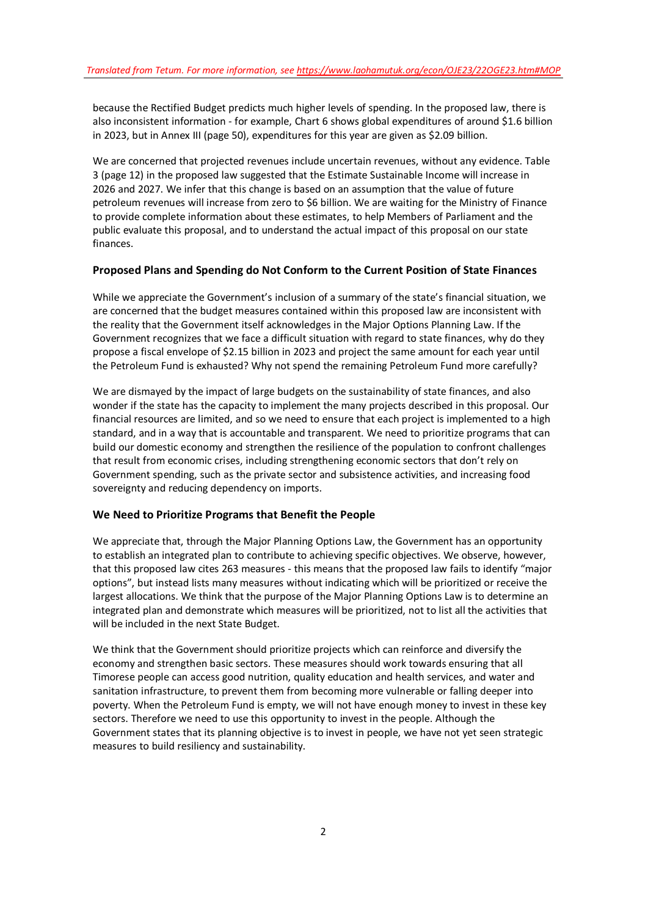because the Rectified Budget predicts much higher levels of spending. In the proposed law, there is also inconsistent information - for example, Chart 6 shows global expenditures of around \$1.6 billion in 2023, but in Annex III (page 50), expenditures for this year are given as \$2.09 billion.

We are concerned that projected revenues include uncertain revenues, without any evidence. Table 3 (page 12) in the proposed law suggested that the Estimate Sustainable Income will increase in 2026 and 2027. We infer that this change is based on an assumption that the value of future petroleum revenues will increase from zero to \$6 billion. We are waiting for the Ministry of Finance to provide complete information about these estimates, to help Members of Parliament and the public evaluate this proposal, and to understand the actual impact of this proposal on our state finances.

#### **Proposed Plans and Spending do Not Conform to the Current Position of State Finances**

While we appreciate the Government's inclusion of a summary of the state's financial situation, we are concerned that the budget measures contained within this proposed law are inconsistent with the reality that the Government itself acknowledges in the Major Options Planning Law. If the Government recognizes that we face a difficult situation with regard to state finances, why do they propose a fiscal envelope of \$2.15 billion in 2023 and project the same amount for each year until the Petroleum Fund is exhausted? Why not spend the remaining Petroleum Fund more carefully?

We are dismayed by the impact of large budgets on the sustainability of state finances, and also wonder if the state has the capacity to implement the many projects described in this proposal. Our financial resources are limited, and so we need to ensure that each project is implemented to a high standard, and in a way that is accountable and transparent. We need to prioritize programs that can build our domestic economy and strengthen the resilience of the population to confront challenges that result from economic crises, including strengthening economic sectors that don't rely on Government spending, such as the private sector and subsistence activities, and increasing food sovereignty and reducing dependency on imports.

#### **We Need to Prioritize Programs that Benefit the People**

We appreciate that, through the Major Planning Options Law, the Government has an opportunity to establish an integrated plan to contribute to achieving specific objectives. We observe, however, that this proposed law cites 263 measures - this means that the proposed law fails to identify "major options", but instead lists many measures without indicating which will be prioritized or receive the largest allocations. We think that the purpose of the Major Planning Options Law is to determine an integrated plan and demonstrate which measures will be prioritized, not to list all the activities that will be included in the next State Budget.

We think that the Government should prioritize projects which can reinforce and diversify the economy and strengthen basic sectors. These measures should work towards ensuring that all Timorese people can access good nutrition, quality education and health services, and water and sanitation infrastructure, to prevent them from becoming more vulnerable or falling deeper into poverty. When the Petroleum Fund is empty, we will not have enough money to invest in these key sectors. Therefore we need to use this opportunity to invest in the people. Although the Government states that its planning objective is to invest in people, we have not yet seen strategic measures to build resiliency and sustainability.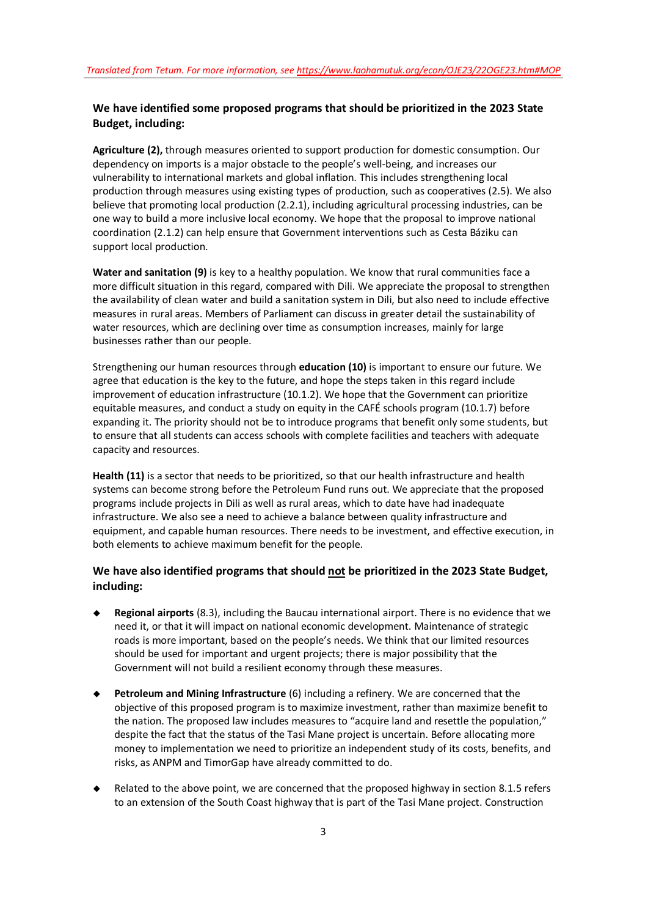### **We have identified some proposed programs that should be prioritized in the 2023 State Budget, including:**

**Agriculture (2),** through measures oriented to support production for domestic consumption. Our dependency on imports is a major obstacle to the people's well-being, and increases our vulnerability to international markets and global inflation. This includes strengthening local production through measures using existing types of production, such as cooperatives (2.5). We also believe that promoting local production (2.2.1), including agricultural processing industries, can be one way to build a more inclusive local economy. We hope that the proposal to improve national coordination (2.1.2) can help ensure that Government interventions such as Cesta Báziku can support local production.

**Water and sanitation (9)** is key to a healthy population. We know that rural communities face a more difficult situation in this regard, compared with Dili. We appreciate the proposal to strengthen the availability of clean water and build a sanitation system in Dili, but also need to include effective measures in rural areas. Members of Parliament can discuss in greater detail the sustainability of water resources, which are declining over time as consumption increases, mainly for large businesses rather than our people.

Strengthening our human resources through **education (10)** is important to ensure our future. We agree that education is the key to the future, and hope the steps taken in this regard include improvement of education infrastructure (10.1.2). We hope that the Government can prioritize equitable measures, and conduct a study on equity in the CAFÉ schools program (10.1.7) before expanding it. The priority should not be to introduce programs that benefit only some students, but to ensure that all students can access schools with complete facilities and teachers with adequate capacity and resources.

**Health (11)** is a sector that needs to be prioritized, so that our health infrastructure and health systems can become strong before the Petroleum Fund runs out. We appreciate that the proposed programs include projects in Dili as well as rural areas, which to date have had inadequate infrastructure. We also see a need to achieve a balance between quality infrastructure and equipment, and capable human resources. There needs to be investment, and effective execution, in both elements to achieve maximum benefit for the people.

## **We have also identified programs that should not be prioritized in the 2023 State Budget, including:**

- **Regional airports** (8.3), including the Baucau international airport. There is no evidence that we need it, or that it will impact on national economic development. Maintenance of strategic roads is more important, based on the people's needs. We think that our limited resources should be used for important and urgent projects; there is major possibility that the Government will not build a resilient economy through these measures.
- **Petroleum and Mining Infrastructure** (6) including a refinery. We are concerned that the objective of this proposed program is to maximize investment, rather than maximize benefit to the nation. The proposed law includes measures to "acquire land and resettle the population," despite the fact that the status of the Tasi Mane project is uncertain. Before allocating more money to implementation we need to prioritize an independent study of its costs, benefits, and risks, as ANPM and TimorGap have already committed to do.
- Related to the above point, we are concerned that the proposed highway in section 8.1.5 refers to an extension of the South Coast highway that is part of the Tasi Mane project. Construction